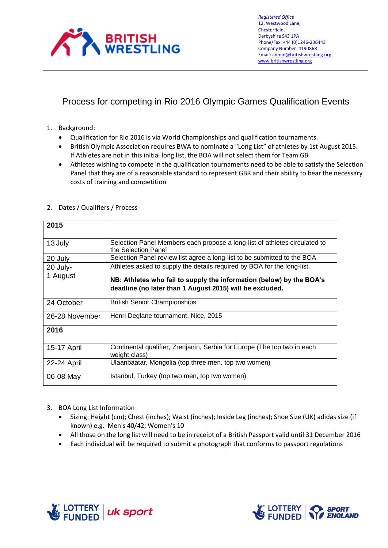

## Process for competing in Rio 2016 Olympic Games Qualification Events

- 1. Background:
	- Qualification for Rio 2016 is via World Championships and qualification tournaments.
	- British Olympic Association requires BWA to nominate a "Long List" of athletes by 1st August 2015. If Athletes are not in this initial long list, the BOA will not select them for Team GB
	- Athletes wishing to compete in the qualification tournaments need to be able to satisfy the Selection Panel that they are of a reasonable standard to represent GBR and their ability to bear the necessary costs of training and competition

| 2015           |                                                                                                                                  |
|----------------|----------------------------------------------------------------------------------------------------------------------------------|
| 13 July        | Selection Panel Members each propose a long-list of athletes circulated to<br>the Selection Panel                                |
| 20 July        | Selection Panel review list agree a long-list to be submitted to the BOA                                                         |
| 20 July-       | Athletes asked to supply the details required by BOA for the long-list.                                                          |
| 1 August       | NB: Athletes who fail to supply the information (below) by the BOA's<br>deadline (no later than 1 August 2015) will be excluded. |
| 24 October     | <b>British Senior Championships</b>                                                                                              |
| 26-28 November | Henri Deglane tournament, Nice, 2015                                                                                             |
| 2016           |                                                                                                                                  |
| 15-17 April    | Continental qualifier, Zrenjanin, Serbia for Europe (The top two in each<br>weight class)                                        |
| 22-24 April    | Ulaanbaatar, Mongolia (top three men, top two women)                                                                             |
| 06-08 May      | Istanbul, Turkey (top two men, top two women)                                                                                    |

## 2. Dates / Qualifiers / Process

- 3. BOA Long List Information
	- Sizing: Height (cm); Chest (inches); Waist (inches); Inside Leg (inches); Shoe Size (UK) adidas size (if known) e.g. Men's 40/42; Women's 10
	- All those on the long list will need to be in receipt of a British Passport valid until 31 December 2016
	- Each individual will be required to submit a photograph that conforms to passport regulations